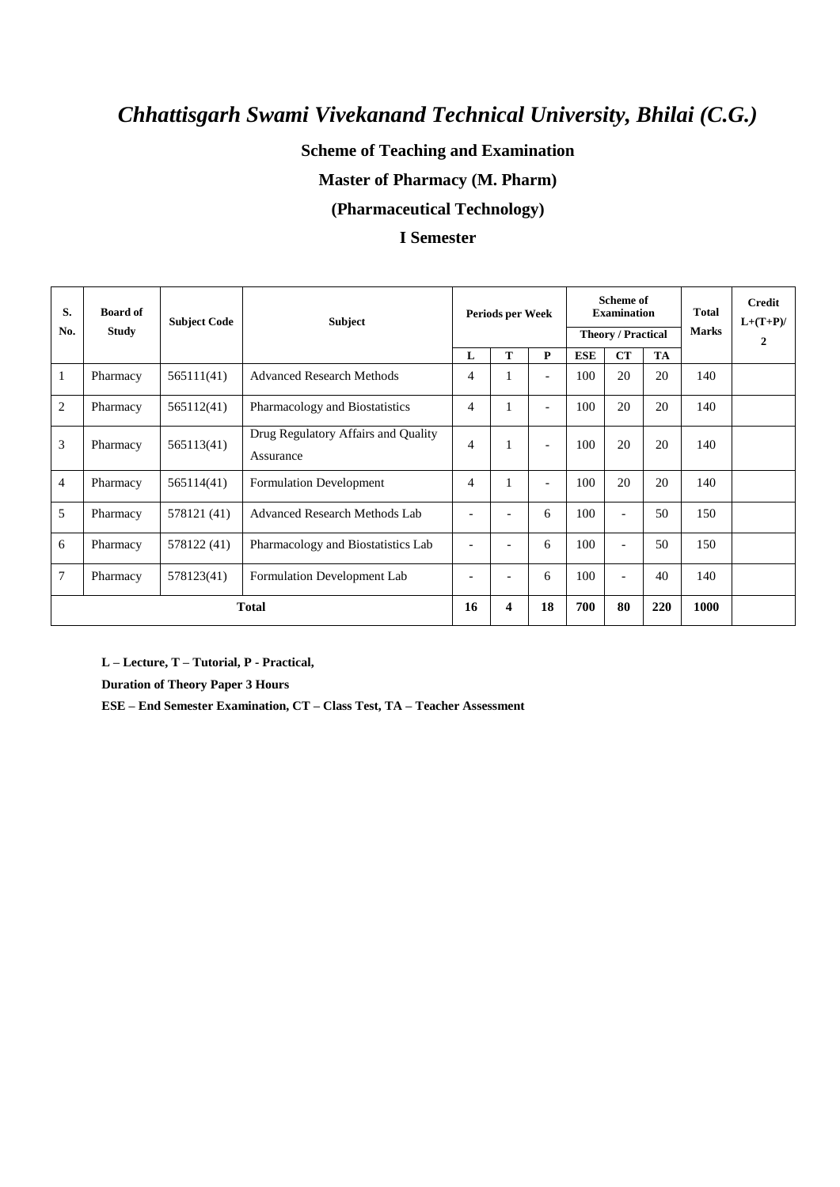## **Scheme of Teaching and Examination**

## **Master of Pharmacy (M. Pharm)**

### **(Pharmaceutical Technology)**

### **I Semester**

| S.<br>No.      | <b>Board of</b><br>Study | <b>Subject Code</b> | Subject                                          | Periods per Week         |   | Scheme of<br><b>Examination</b><br><b>Theory / Practical</b> |            |                   | <b>Total</b><br><b>Marks</b> | <b>Credit</b><br>$L+(T+P)/$<br>$\overline{2}$ |  |
|----------------|--------------------------|---------------------|--------------------------------------------------|--------------------------|---|--------------------------------------------------------------|------------|-------------------|------------------------------|-----------------------------------------------|--|
|                |                          |                     |                                                  | L                        | т | P                                                            | <b>ESE</b> | <b>CT</b>         | TA                           |                                               |  |
|                | Pharmacy                 | 565111(41)          | <b>Advanced Research Methods</b>                 | $\overline{4}$           |   | $\overline{\phantom{0}}$                                     | 100        | 20                | 20                           | 140                                           |  |
| 2              | Pharmacy                 | 565112(41)          | Pharmacology and Biostatistics                   | $\overline{4}$           |   | $\overline{\phantom{a}}$                                     | 100        | 20                | 20                           | 140                                           |  |
| 3              | Pharmacy                 | 565113(41)          | Drug Regulatory Affairs and Quality<br>Assurance | 4                        |   |                                                              | 100        | 20                | 20                           | 140                                           |  |
| $\overline{4}$ | Pharmacy                 | 565114(41)          | <b>Formulation Development</b>                   | $\overline{4}$           |   | $\overline{\phantom{0}}$                                     | 100        | 20                | 20                           | 140                                           |  |
| 5              | Pharmacy                 | 578121 (41)         | Advanced Research Methods Lab                    |                          |   | 6                                                            | 100        | $\blacksquare$    | 50                           | 150                                           |  |
| 6              | Pharmacy                 | 578122 (41)         | Pharmacology and Biostatistics Lab               | $\overline{\phantom{a}}$ | ۰ | 6                                                            | 100        | $\overline{a}$    | 50                           | 150                                           |  |
| 7              | Pharmacy                 | 578123(41)          | Formulation Development Lab                      | ٠                        | ۰ | 6                                                            | 100        | $\qquad \qquad -$ | 40                           | 140                                           |  |
|                | <b>Total</b>             |                     |                                                  |                          | 4 | 18                                                           | 700        | 80                | 220                          | 1000                                          |  |

**L – Lecture, T – Tutorial, P - Practical,** 

**Duration of Theory Paper 3 Hours** 

**ESE – End Semester Examination, CT – Class Test, TA – Teacher Assessment**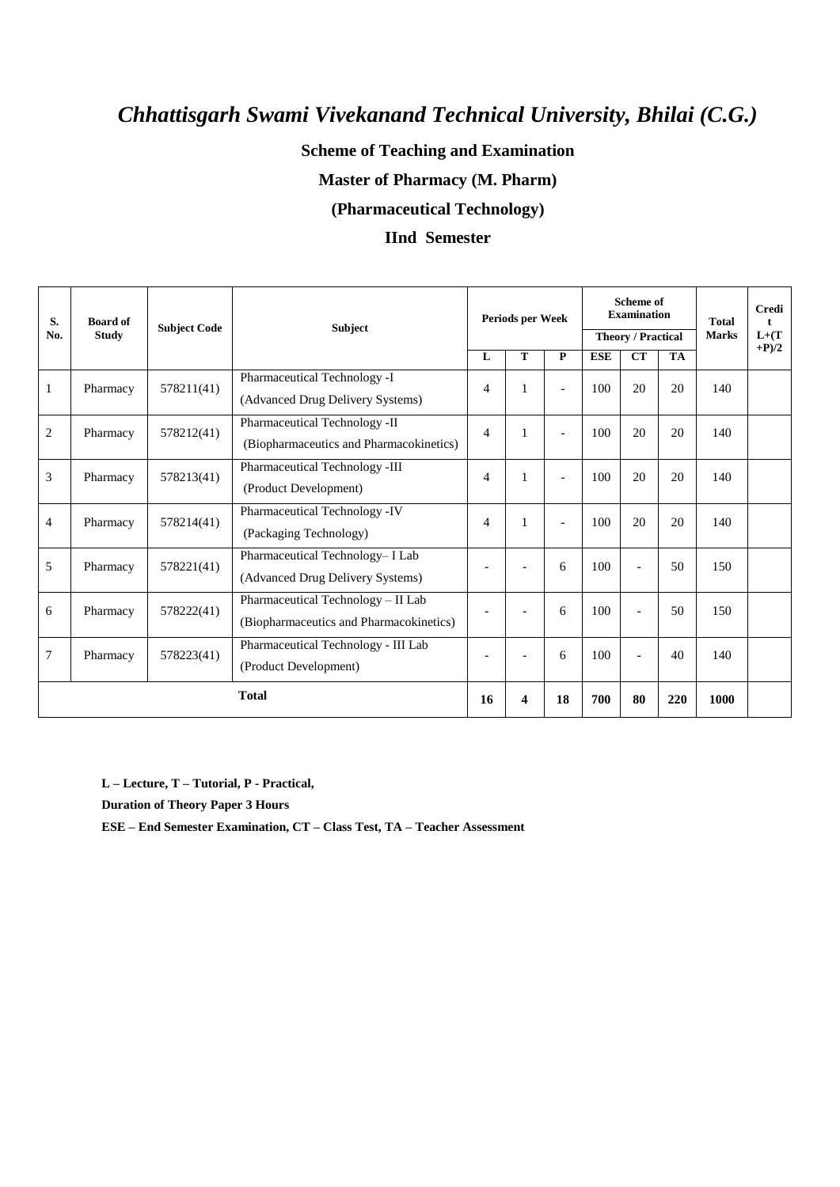## **Scheme of Teaching and Examination**

### **Master of Pharmacy (M. Pharm)**

### **(Pharmaceutical Technology)**

### **IInd Semester**

| S.<br>No.      | <b>Board of</b><br><b>Study</b> | <b>Subject Code</b> | <b>Subject</b>                          | Periods per Week |                |                | Scheme of<br><b>Examination</b><br><b>Theory / Practical</b> |                |           | <b>Total</b><br><b>Marks</b> | <b>Credi</b><br>t<br>$L+ (T)$<br>$+P/2$ |
|----------------|---------------------------------|---------------------|-----------------------------------------|------------------|----------------|----------------|--------------------------------------------------------------|----------------|-----------|------------------------------|-----------------------------------------|
|                |                                 |                     |                                         | L                | T              | P              | <b>ESE</b>                                                   | <b>CT</b>      | <b>TA</b> |                              |                                         |
| $\mathbf{1}$   | Pharmacy                        | 578211(41)          | Pharmaceutical Technology -I            | 4                | $\mathbf{1}$   | $\overline{a}$ | 100                                                          | 20             | 20        | 140                          |                                         |
|                |                                 |                     | (Advanced Drug Delivery Systems)        |                  |                |                |                                                              |                |           |                              |                                         |
| $\overline{2}$ | Pharmacy                        | 578212(41)          | Pharmaceutical Technology -II           | 4                | 1              |                | 100                                                          | 20             | 20        | 140                          |                                         |
|                |                                 |                     | (Biopharmaceutics and Pharmacokinetics) |                  |                |                |                                                              |                |           |                              |                                         |
| 3              | Pharmacy                        | 578213(41)          | Pharmaceutical Technology -III          | $\overline{4}$   | 1              | $\overline{a}$ | 100                                                          | 20             | 20        | 140                          |                                         |
|                |                                 |                     | (Product Development)                   |                  |                |                |                                                              |                |           |                              |                                         |
| $\overline{4}$ | Pharmacy                        | 578214(41)          | Pharmaceutical Technology -IV           | $\overline{4}$   | 1              | $\overline{a}$ | 100                                                          | 20             | 20        | 140                          |                                         |
|                |                                 |                     | (Packaging Technology)                  |                  |                |                |                                                              |                |           |                              |                                         |
| 5              | Pharmacy                        | 578221(41)          | Pharmaceutical Technology- I Lab        | $\overline{a}$   | $\overline{a}$ | 6              | 100                                                          | $\overline{a}$ | 50        | 150                          |                                         |
|                |                                 |                     | (Advanced Drug Delivery Systems)        |                  |                |                |                                                              |                |           |                              |                                         |
| 6              | Pharmacy                        | 578222(41)          | Pharmaceutical Technology - II Lab      |                  |                | 6              | 100                                                          | $\overline{a}$ | 50        | 150                          |                                         |
|                |                                 |                     | (Biopharmaceutics and Pharmacokinetics) |                  |                |                |                                                              |                |           |                              |                                         |
| 7              | Pharmacy                        | 578223(41)          | Pharmaceutical Technology - III Lab     |                  |                | 6              | 100                                                          | $\overline{a}$ | 40        | 140                          |                                         |
|                |                                 |                     | (Product Development)                   |                  |                |                |                                                              |                |           |                              |                                         |
|                | <b>Total</b>                    |                     |                                         |                  | 4              | 18             | 700                                                          | 80             | 220       | 1000                         |                                         |

**L – Lecture, T – Tutorial, P - Practical,** 

**Duration of Theory Paper 3 Hours** 

**ESE – End Semester Examination, CT – Class Test, TA – Teacher Assessment**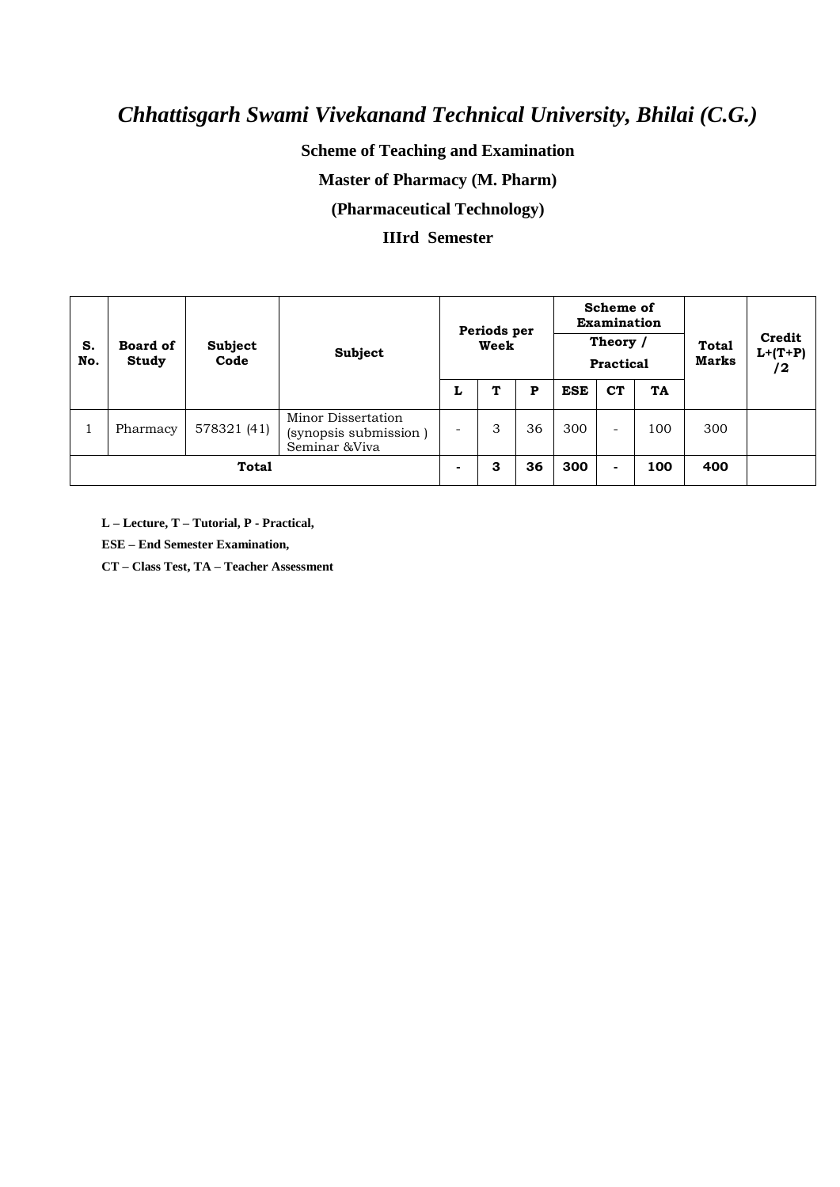## **Scheme of Teaching and Examination**

## **Master of Pharmacy (M. Pharm)**

### **(Pharmaceutical Technology)**

### **IIIrd Semester**

| S.<br>No.    | <b>Board of</b><br>Study | <b>Subject</b><br>Code | Subject                                                       | Periods per<br>Week      |   |    | Scheme of<br><b>Examination</b><br>Theory /<br><b>Practical</b> |           |           | <b>Total</b><br>Marks | Credit<br>$L+(T+P)$<br>/2 |
|--------------|--------------------------|------------------------|---------------------------------------------------------------|--------------------------|---|----|-----------------------------------------------------------------|-----------|-----------|-----------------------|---------------------------|
|              |                          |                        |                                                               | L                        | т | P  | <b>ESE</b>                                                      | <b>CT</b> | <b>TA</b> |                       |                           |
|              | Pharmacy                 | 578321 (41)            | Minor Dissertation<br>(synopsis submission)<br>Seminar & Viva |                          | 3 | 36 | 300                                                             | -         | 100       | 300                   |                           |
| <b>Total</b> |                          |                        |                                                               | $\overline{\phantom{0}}$ | 3 | 36 | 300                                                             | -         | 100       | 400                   |                           |

**L – Lecture, T – Tutorial, P - Practical,** 

**ESE – End Semester Examination,** 

**CT – Class Test, TA – Teacher Assessment**